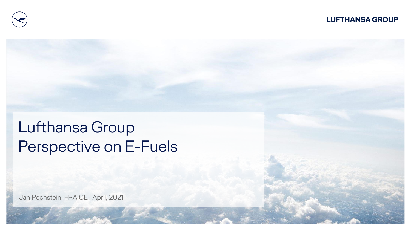

# Lufthansa Group Perspective on E-Fuels

Jan Pechstein, FRA CE | April, 2021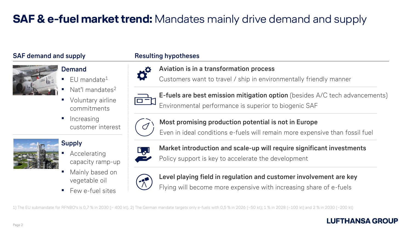# **SAF & e-fuel market trend:** Mandates mainly drive demand and supply

### **SAF demand and supply**



# **Demand**

- $FU$  mandate<sup>1</sup>
- Nat'l mandates $2$
- Voluntary airline commitments
- **·** Increasing customer interest



# **Supply**

- Accelerating capacity ramp-up
- Mainly based on vegetable oil
- Few e-fuel sites

### **Resulting hypotheses**



## **Aviation is in a transformation process**

Customers want to travel / ship in environmentally friendly manner



**E-fuels are best emission mitigation option** (besides A/C tech advancements) Environmental performance is superior to biogenic SAF



**Most promising production potential is not in Europe**

Even in ideal conditions e-fuels will remain more expensive than fossil fuel



**Market introduction and scale-up will require significant investments**

Policy support is key to accelerate the development



**Level playing field in regulation and customer involvement are key** Flying will become more expensive with increasing share of e-fuels

1) The EU submandate for RFNBO's is 0,7 % in 2030 (~ 400 kt). 2) The German mandate targets only e-fuels with 0,5 % in 2026 (~50 kt); 1 % in 2028 (~100 kt) and 2 % in 2030 (~200 kt)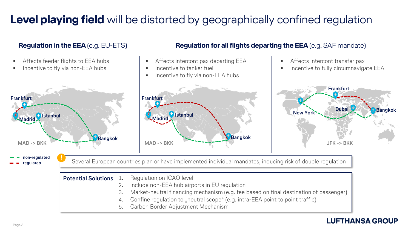# **Level playing field** will be distorted by geographically confined regulation

#### **Bangkok Frankfurt New York Dubai regulated non-regulated Frankfurt Madrid Istanbul Bangkok Frankfurt Madrid Istanbul Bangkok Regulation in the EEA** (e.g. EU-ETS) **Regulation for all flights departing the EEA** (e.g. SAF mandate) Affects feeder flights to EEA hubs Incentive to fly via non-EEA hubs Affects intercont pax departing EEA  $\blacksquare$  Incentive to tanker fuel **Incentive to fly via non-EEA hubs Affects intercont transfer pax**  Incentive to fully circumnavigate EEA **MAD -> BKK MAD -> BKK JFK -> BKK** Several European countries plan or have implemented individual mandates, inducing risk of double regulation **! Potential Solutions** 1. Regulation on ICAO level

- 2. Include non-EEA hub airports in EU regulation
- 3. Market-neutral financing mechanism (e.g. fee based on final destination of passenger)
- 4. Confine regulation to "neutral scope" (e.g. intra-EEA point to point traffic)
- 5. Carbon Border Adjustment Mechanism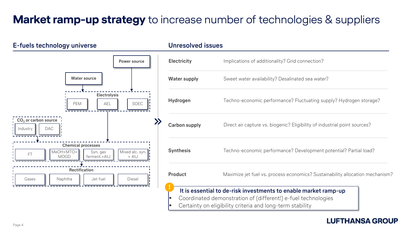# **Market ramp-up strategy** to increase number of technologies & suppliers

#### **E-fuels technology universe Unresolved issues**



| <b>Electricity</b>  | Implications of additionality? Grid connection?                                                                                                                                               |
|---------------------|-----------------------------------------------------------------------------------------------------------------------------------------------------------------------------------------------|
| <b>Water supply</b> | Sweet water availability? Desalinated sea water?                                                                                                                                              |
| Hydrogen            | Techno-economic performance? Fluctuating supply? Hydrogen storage?                                                                                                                            |
| Carbon supply       | Direct air capture vs. biogenic? Eligibility of industrial point sources?                                                                                                                     |
| <b>Synthesis</b>    | Techno-economic performance? Development potential? Partial load?                                                                                                                             |
| <b>Product</b>      | Maximize jet fuel vs. process economics? Sustainability allocation mechanism?                                                                                                                 |
| Þ<br>E              | It is essential to de-risk investments to enable market ramp-up<br>Coordinated demonstration of (different!) e-fuel technologies<br>Certainty on eligibility criteria and long-term stability |